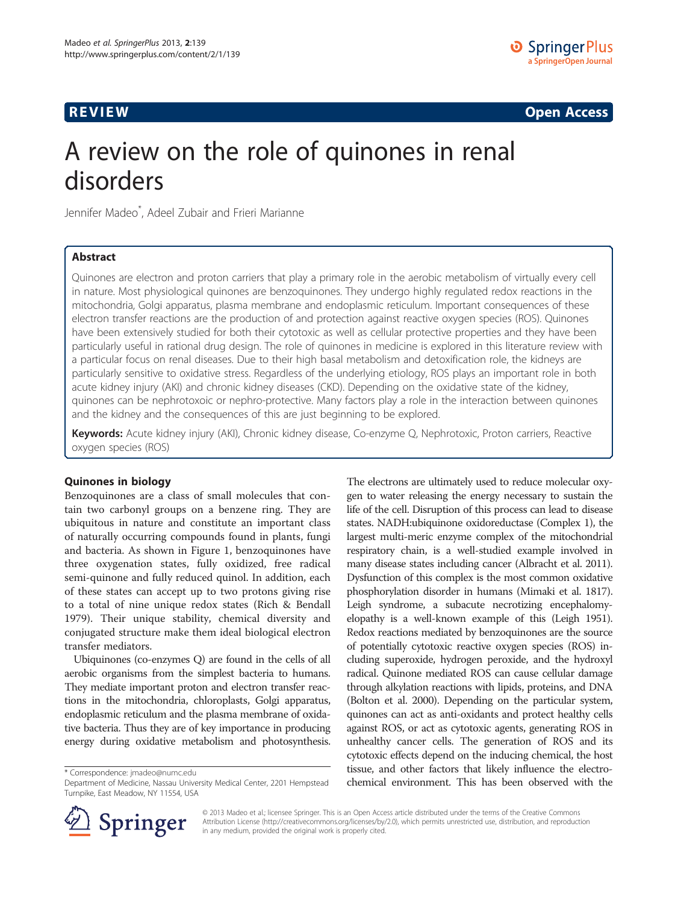**REVIEW CONSTRUCTION CONSTRUCTION CONSTRUCTS** 

# A review on the role of quinones in renal disorders

Jennifer Madeo\* , Adeel Zubair and Frieri Marianne

# Abstract

Quinones are electron and proton carriers that play a primary role in the aerobic metabolism of virtually every cell in nature. Most physiological quinones are benzoquinones. They undergo highly regulated redox reactions in the mitochondria, Golgi apparatus, plasma membrane and endoplasmic reticulum. Important consequences of these electron transfer reactions are the production of and protection against reactive oxygen species (ROS). Quinones have been extensively studied for both their cytotoxic as well as cellular protective properties and they have been particularly useful in rational drug design. The role of quinones in medicine is explored in this literature review with a particular focus on renal diseases. Due to their high basal metabolism and detoxification role, the kidneys are particularly sensitive to oxidative stress. Regardless of the underlying etiology, ROS plays an important role in both acute kidney injury (AKI) and chronic kidney diseases (CKD). Depending on the oxidative state of the kidney, quinones can be nephrotoxoic or nephro-protective. Many factors play a role in the interaction between quinones and the kidney and the consequences of this are just beginning to be explored.

Keywords: Acute kidney injury (AKI), Chronic kidney disease, Co-enzyme Q, Nephrotoxic, Proton carriers, Reactive oxygen species (ROS)

# Quinones in biology

Benzoquinones are a class of small molecules that contain two carbonyl groups on a benzene ring. They are ubiquitous in nature and constitute an important class of naturally occurring compounds found in plants, fungi and bacteria. As shown in Figure [1,](#page-1-0) benzoquinones have three oxygenation states, fully oxidized, free radical semi-quinone and fully reduced quinol. In addition, each of these states can accept up to two protons giving rise to a total of nine unique redox states (Rich & Bendall [1979](#page-6-0)). Their unique stability, chemical diversity and conjugated structure make them ideal biological electron transfer mediators.

Ubiquinones (co-enzymes Q) are found in the cells of all aerobic organisms from the simplest bacteria to humans. They mediate important proton and electron transfer reactions in the mitochondria, chloroplasts, Golgi apparatus, endoplasmic reticulum and the plasma membrane of oxidative bacteria. Thus they are of key importance in producing energy during oxidative metabolism and photosynthesis.

\* Correspondence: [jmadeo@numc.edu](mailto:jmadeo@numc.edu)

The electrons are ultimately used to reduce molecular oxygen to water releasing the energy necessary to sustain the life of the cell. Disruption of this process can lead to disease states. NADH:ubiquinone oxidoreductase (Complex 1), the largest multi-meric enzyme complex of the mitochondrial respiratory chain, is a well-studied example involved in many disease states including cancer (Albracht et al. [2011](#page-5-0)). Dysfunction of this complex is the most common oxidative phosphorylation disorder in humans (Mimaki et al. [1817](#page-6-0)). Leigh syndrome, a subacute necrotizing encephalomyelopathy is a well-known example of this (Leigh [1951](#page-6-0)). Redox reactions mediated by benzoquinones are the source of potentially cytotoxic reactive oxygen species (ROS) including superoxide, hydrogen peroxide, and the hydroxyl radical. Quinone mediated ROS can cause cellular damage through alkylation reactions with lipids, proteins, and DNA (Bolton et al. [2000](#page-5-0)). Depending on the particular system, quinones can act as anti-oxidants and protect healthy cells against ROS, or act as cytotoxic agents, generating ROS in unhealthy cancer cells. The generation of ROS and its cytotoxic effects depend on the inducing chemical, the host tissue, and other factors that likely influence the electrochemical environment. This has been observed with the



© 2013 Madeo et al.; licensee Springer. This is an Open Access article distributed under the terms of the Creative Commons Attribution License [\(http://creativecommons.org/licenses/by/2.0\)](http://creativecommons.org/licenses/by/2.0), which permits unrestricted use, distribution, and reproduction in any medium, provided the original work is properly cited.

Department of Medicine, Nassau University Medical Center, 2201 Hempstead Turnpike, East Meadow, NY 11554, USA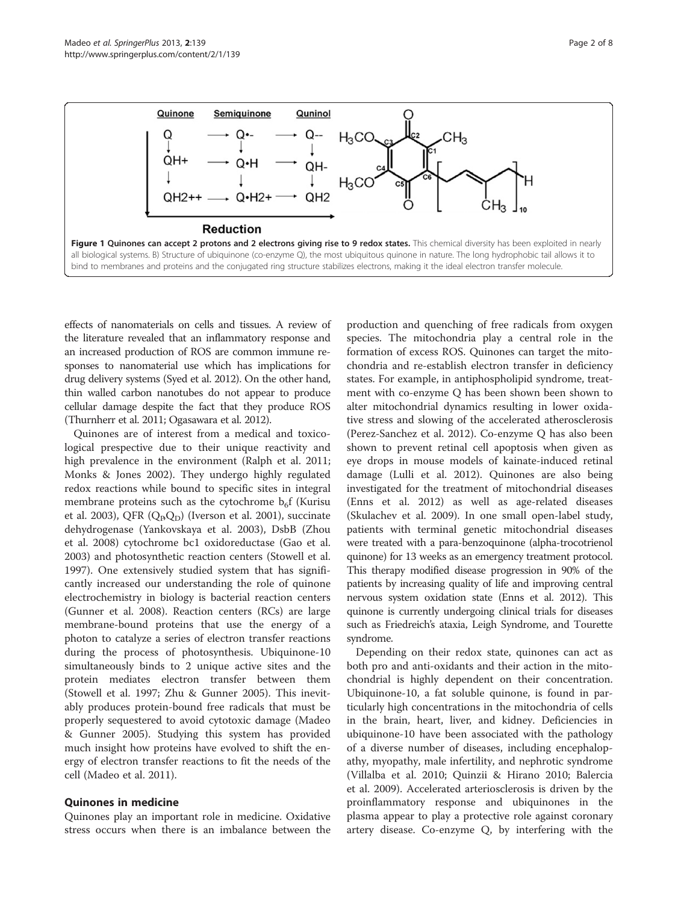<span id="page-1-0"></span>

effects of nanomaterials on cells and tissues. A review of the literature revealed that an inflammatory response and an increased production of ROS are common immune responses to nanomaterial use which has implications for drug delivery systems (Syed et al. [2012](#page-6-0)). On the other hand, thin walled carbon nanotubes do not appear to produce cellular damage despite the fact that they produce ROS (Thurnherr et al. [2011;](#page-7-0) Ogasawara et al. [2012\)](#page-6-0).

Quinones are of interest from a medical and toxicological prespective due to their unique reactivity and high prevalence in the environment (Ralph et al. [2011](#page-6-0); Monks & Jones [2002](#page-6-0)). They undergo highly regulated redox reactions while bound to specific sites in integral membrane proteins such as the cytochrome  $b<sub>6</sub>f$  (Kurisu et al. [2003](#page-6-0)), QFR  $(Q_PQ_D)$  (Iverson et al. [2001](#page-5-0)), succinate dehydrogenase (Yankovskaya et al. [2003](#page-7-0)), DsbB (Zhou et al. [2008](#page-7-0)) cytochrome bc1 oxidoreductase (Gao et al. [2003](#page-5-0)) and photosynthetic reaction centers (Stowell et al. [1997](#page-6-0)). One extensively studied system that has significantly increased our understanding the role of quinone electrochemistry in biology is bacterial reaction centers (Gunner et al. [2008\)](#page-5-0). Reaction centers (RCs) are large membrane-bound proteins that use the energy of a photon to catalyze a series of electron transfer reactions during the process of photosynthesis. Ubiquinone-10 simultaneously binds to 2 unique active sites and the protein mediates electron transfer between them (Stowell et al. [1997](#page-6-0); Zhu & Gunner [2005\)](#page-7-0). This inevitably produces protein-bound free radicals that must be properly sequestered to avoid cytotoxic damage (Madeo & Gunner [2005](#page-6-0)). Studying this system has provided much insight how proteins have evolved to shift the energy of electron transfer reactions to fit the needs of the cell (Madeo et al. [2011](#page-6-0)).

# Quinones in medicine

Quinones play an important role in medicine. Oxidative stress occurs when there is an imbalance between the

production and quenching of free radicals from oxygen species. The mitochondria play a central role in the formation of excess ROS. Quinones can target the mitochondria and re-establish electron transfer in deficiency states. For example, in antiphospholipid syndrome, treatment with co-enzyme Q has been shown been shown to alter mitochondrial dynamics resulting in lower oxidative stress and slowing of the accelerated atherosclerosis (Perez-Sanchez et al. [2012](#page-6-0)). Co-enzyme Q has also been shown to prevent retinal cell apoptosis when given as eye drops in mouse models of kainate-induced retinal damage (Lulli et al. [2012\)](#page-6-0). Quinones are also being investigated for the treatment of mitochondrial diseases (Enns et al. [2012](#page-5-0)) as well as age-related diseases (Skulachev et al. [2009\)](#page-6-0). In one small open-label study, patients with terminal genetic mitochondrial diseases were treated with a para-benzoquinone (alpha-trocotrienol quinone) for 13 weeks as an emergency treatment protocol. This therapy modified disease progression in 90% of the patients by increasing quality of life and improving central nervous system oxidation state (Enns et al. [2012\)](#page-5-0). This quinone is currently undergoing clinical trials for diseases such as Friedreich's ataxia, Leigh Syndrome, and Tourette syndrome.

Depending on their redox state, quinones can act as both pro and anti-oxidants and their action in the mitochondrial is highly dependent on their concentration. Ubiquinone-10, a fat soluble quinone, is found in particularly high concentrations in the mitochondria of cells in the brain, heart, liver, and kidney. Deficiencies in ubiquinone-10 have been associated with the pathology of a diverse number of diseases, including encephalopathy, myopathy, male infertility, and nephrotic syndrome (Villalba et al. [2010;](#page-7-0) Quinzii & Hirano [2010;](#page-6-0) Balercia et al. [2009](#page-5-0)). Accelerated arteriosclerosis is driven by the proinflammatory response and ubiquinones in the plasma appear to play a protective role against coronary artery disease. Co-enzyme Q, by interfering with the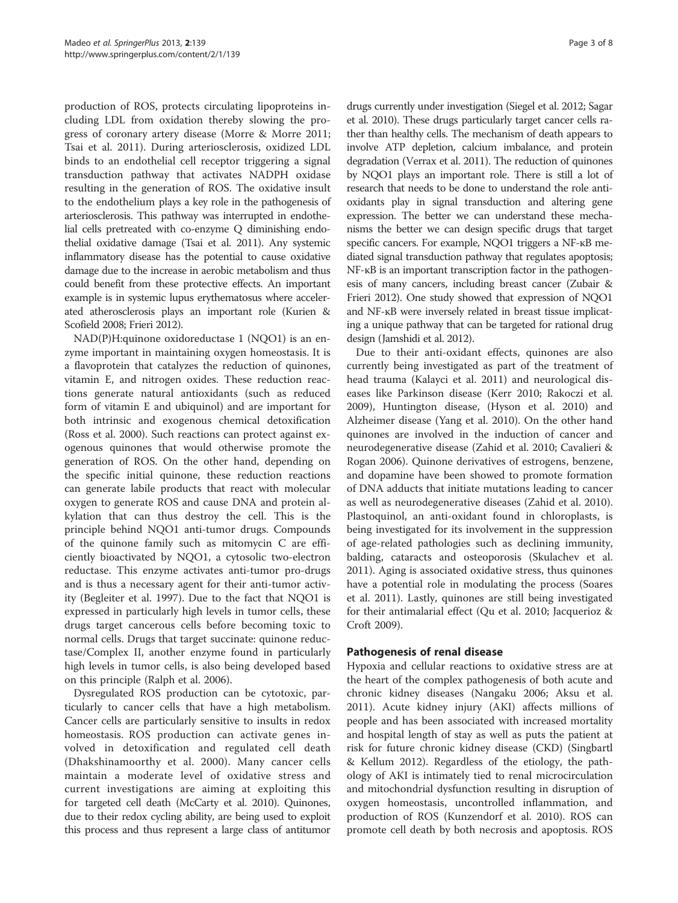production of ROS, protects circulating lipoproteins including LDL from oxidation thereby slowing the progress of coronary artery disease (Morre & Morre [2011](#page-6-0); Tsai et al. [2011\)](#page-7-0). During arteriosclerosis, oxidized LDL binds to an endothelial cell receptor triggering a signal transduction pathway that activates NADPH oxidase resulting in the generation of ROS. The oxidative insult to the endothelium plays a key role in the pathogenesis of arteriosclerosis. This pathway was interrupted in endothelial cells pretreated with co-enzyme Q diminishing endothelial oxidative damage (Tsai et al. [2011\)](#page-7-0). Any systemic inflammatory disease has the potential to cause oxidative damage due to the increase in aerobic metabolism and thus could benefit from these protective effects. An important example is in systemic lupus erythematosus where accelerated atherosclerosis plays an important role (Kurien & Scofield [2008;](#page-6-0) Frieri [2012\)](#page-5-0).

NAD(P)H:quinone oxidoreductase 1 (NQO1) is an enzyme important in maintaining oxygen homeostasis. It is a flavoprotein that catalyzes the reduction of quinones, vitamin E, and nitrogen oxides. These reduction reactions generate natural antioxidants (such as reduced form of vitamin E and ubiquinol) and are important for both intrinsic and exogenous chemical detoxification (Ross et al. [2000](#page-6-0)). Such reactions can protect against exogenous quinones that would otherwise promote the generation of ROS. On the other hand, depending on the specific initial quinone, these reduction reactions can generate labile products that react with molecular oxygen to generate ROS and cause DNA and protein alkylation that can thus destroy the cell. This is the principle behind NQO1 anti-tumor drugs. Compounds of the quinone family such as mitomycin C are efficiently bioactivated by NQO1, a cytosolic two-electron reductase. This enzyme activates anti-tumor pro-drugs and is thus a necessary agent for their anti-tumor activity (Begleiter et al. [1997\)](#page-5-0). Due to the fact that NQO1 is expressed in particularly high levels in tumor cells, these drugs target cancerous cells before becoming toxic to normal cells. Drugs that target succinate: quinone reductase/Complex II, another enzyme found in particularly high levels in tumor cells, is also being developed based on this principle (Ralph et al. [2006\)](#page-6-0).

Dysregulated ROS production can be cytotoxic, particularly to cancer cells that have a high metabolism. Cancer cells are particularly sensitive to insults in redox homeostasis. ROS production can activate genes involved in detoxification and regulated cell death (Dhakshinamoorthy et al. [2000\)](#page-5-0). Many cancer cells maintain a moderate level of oxidative stress and current investigations are aiming at exploiting this for targeted cell death (McCarty et al. [2010\)](#page-6-0). Quinones, due to their redox cycling ability, are being used to exploit this process and thus represent a large class of antitumor

drugs currently under investigation (Siegel et al. [2012;](#page-6-0) Sagar et al. [2010\)](#page-6-0). These drugs particularly target cancer cells rather than healthy cells. The mechanism of death appears to involve ATP depletion, calcium imbalance, and protein degradation (Verrax et al. [2011](#page-7-0)). The reduction of quinones by NQO1 plays an important role. There is still a lot of research that needs to be done to understand the role antioxidants play in signal transduction and altering gene expression. The better we can understand these mechanisms the better we can design specific drugs that target specific cancers. For example, NQO1 triggers a NF- $\kappa$ B mediated signal transduction pathway that regulates apoptosis; NF-<sub>K</sub>B is an important transcription factor in the pathogenesis of many cancers, including breast cancer (Zubair & Frieri [2012](#page-7-0)). One study showed that expression of NQO1 and NF-ĸB were inversely related in breast tissue implicating a unique pathway that can be targeted for rational drug design (Jamshidi et al. [2012\)](#page-5-0).

Due to their anti-oxidant effects, quinones are also currently being investigated as part of the treatment of head trauma (Kalayci et al. [2011\)](#page-5-0) and neurological diseases like Parkinson disease (Kerr [2010;](#page-5-0) Rakoczi et al. [2009](#page-6-0)), Huntington disease, (Hyson et al. [2010\)](#page-5-0) and Alzheimer disease (Yang et al. [2010](#page-7-0)). On the other hand quinones are involved in the induction of cancer and neurodegenerative disease (Zahid et al. [2010](#page-7-0); Cavalieri & Rogan [2006](#page-5-0)). Quinone derivatives of estrogens, benzene, and dopamine have been showed to promote formation of DNA adducts that initiate mutations leading to cancer as well as neurodegenerative diseases (Zahid et al. [2010](#page-7-0)). Plastoquinol, an anti-oxidant found in chloroplasts, is being investigated for its involvement in the suppression of age-related pathologies such as declining immunity, balding, cataracts and osteoporosis (Skulachev et al. [2011](#page-6-0)). Aging is associated oxidative stress, thus quinones have a potential role in modulating the process (Soares et al. [2011\)](#page-6-0). Lastly, quinones are still being investigated for their antimalarial effect (Qu et al. [2010;](#page-6-0) Jacquerioz & Croft [2009\)](#page-5-0).

# Pathogenesis of renal disease

Hypoxia and cellular reactions to oxidative stress are at the heart of the complex pathogenesis of both acute and chronic kidney diseases (Nangaku [2006;](#page-6-0) Aksu et al. [2011](#page-5-0)). Acute kidney injury (AKI) affects millions of people and has been associated with increased mortality and hospital length of stay as well as puts the patient at risk for future chronic kidney disease (CKD) (Singbartl & Kellum [2012\)](#page-6-0). Regardless of the etiology, the pathology of AKI is intimately tied to renal microcirculation and mitochondrial dysfunction resulting in disruption of oxygen homeostasis, uncontrolled inflammation, and production of ROS (Kunzendorf et al. [2010](#page-6-0)). ROS can promote cell death by both necrosis and apoptosis. ROS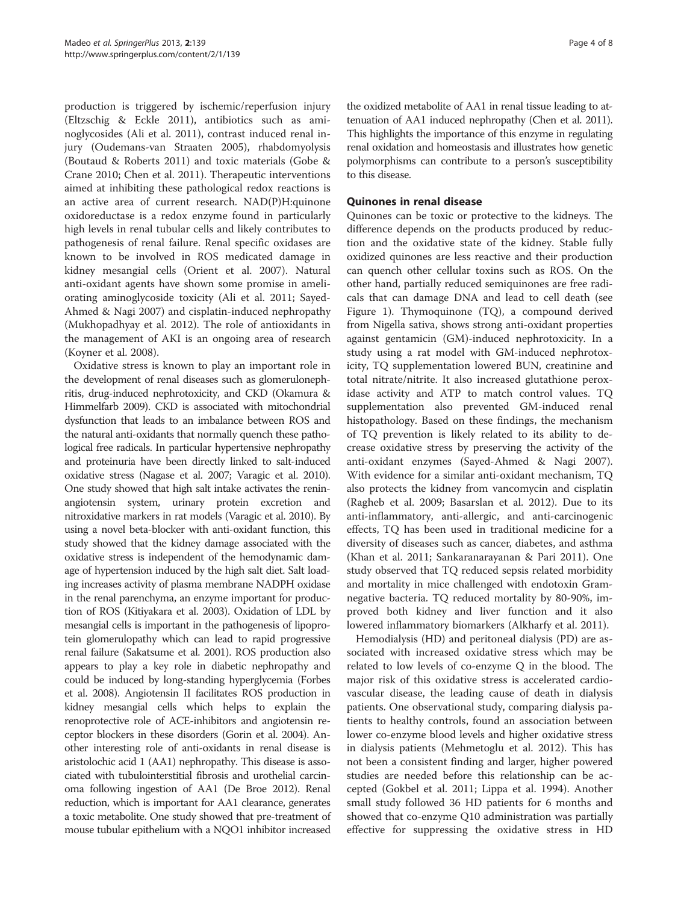production is triggered by ischemic/reperfusion injury (Eltzschig & Eckle [2011](#page-5-0)), antibiotics such as aminoglycosides (Ali et al. [2011\)](#page-5-0), contrast induced renal injury (Oudemans-van Straaten [2005](#page-6-0)), rhabdomyolysis (Boutaud & Roberts [2011\)](#page-5-0) and toxic materials (Gobe & Crane [2010;](#page-5-0) Chen et al. [2011](#page-5-0)). Therapeutic interventions aimed at inhibiting these pathological redox reactions is an active area of current research. NAD(P)H:quinone oxidoreductase is a redox enzyme found in particularly high levels in renal tubular cells and likely contributes to pathogenesis of renal failure. Renal specific oxidases are known to be involved in ROS medicated damage in kidney mesangial cells (Orient et al. [2007\)](#page-6-0). Natural anti-oxidant agents have shown some promise in ameliorating aminoglycoside toxicity (Ali et al. [2011;](#page-5-0) Sayed-Ahmed & Nagi [2007\)](#page-6-0) and cisplatin-induced nephropathy (Mukhopadhyay et al. [2012\)](#page-6-0). The role of antioxidants in the management of AKI is an ongoing area of research (Koyner et al. [2008\)](#page-6-0).

Oxidative stress is known to play an important role in the development of renal diseases such as glomerulonephritis, drug-induced nephrotoxicity, and CKD (Okamura & Himmelfarb [2009](#page-6-0)). CKD is associated with mitochondrial dysfunction that leads to an imbalance between ROS and the natural anti-oxidants that normally quench these pathological free radicals. In particular hypertensive nephropathy and proteinuria have been directly linked to salt-induced oxidative stress (Nagase et al. [2007;](#page-6-0) Varagic et al. [2010](#page-7-0)). One study showed that high salt intake activates the reninangiotensin system, urinary protein excretion and nitroxidative markers in rat models (Varagic et al. [2010\)](#page-7-0). By using a novel beta-blocker with anti-oxidant function, this study showed that the kidney damage associated with the oxidative stress is independent of the hemodynamic damage of hypertension induced by the high salt diet. Salt loading increases activity of plasma membrane NADPH oxidase in the renal parenchyma, an enzyme important for production of ROS (Kitiyakara et al. [2003](#page-6-0)). Oxidation of LDL by mesangial cells is important in the pathogenesis of lipoprotein glomerulopathy which can lead to rapid progressive renal failure (Sakatsume et al. [2001](#page-6-0)). ROS production also appears to play a key role in diabetic nephropathy and could be induced by long-standing hyperglycemia (Forbes et al. [2008](#page-5-0)). Angiotensin II facilitates ROS production in kidney mesangial cells which helps to explain the renoprotective role of ACE-inhibitors and angiotensin receptor blockers in these disorders (Gorin et al. [2004](#page-5-0)). Another interesting role of anti-oxidants in renal disease is aristolochic acid 1 (AA1) nephropathy. This disease is associated with tubulointerstitial fibrosis and urothelial carcinoma following ingestion of AA1 (De Broe [2012](#page-5-0)). Renal reduction, which is important for AA1 clearance, generates a toxic metabolite. One study showed that pre-treatment of mouse tubular epithelium with a NQO1 inhibitor increased the oxidized metabolite of AA1 in renal tissue leading to attenuation of AA1 induced nephropathy (Chen et al. [2011](#page-5-0)). This highlights the importance of this enzyme in regulating renal oxidation and homeostasis and illustrates how genetic polymorphisms can contribute to a person's susceptibility to this disease.

## Quinones in renal disease

Quinones can be toxic or protective to the kidneys. The difference depends on the products produced by reduction and the oxidative state of the kidney. Stable fully oxidized quinones are less reactive and their production can quench other cellular toxins such as ROS. On the other hand, partially reduced semiquinones are free radicals that can damage DNA and lead to cell death (see Figure [1](#page-1-0)). Thymoquinone (TQ), a compound derived from Nigella sativa, shows strong anti-oxidant properties against gentamicin (GM)-induced nephrotoxicity. In a study using a rat model with GM-induced nephrotoxicity, TQ supplementation lowered BUN, creatinine and total nitrate/nitrite. It also increased glutathione peroxidase activity and ATP to match control values. TQ supplementation also prevented GM-induced renal histopathology. Based on these findings, the mechanism of TQ prevention is likely related to its ability to decrease oxidative stress by preserving the activity of the anti-oxidant enzymes (Sayed-Ahmed & Nagi [2007](#page-6-0)). With evidence for a similar anti-oxidant mechanism, TQ also protects the kidney from vancomycin and cisplatin (Ragheb et al. [2009](#page-6-0); Basarslan et al. [2012](#page-5-0)). Due to its anti-inflammatory, anti-allergic, and anti-carcinogenic effects, TQ has been used in traditional medicine for a diversity of diseases such as cancer, diabetes, and asthma (Khan et al. [2011](#page-6-0); Sankaranarayanan & Pari [2011\)](#page-6-0). One study observed that TQ reduced sepsis related morbidity and mortality in mice challenged with endotoxin Gramnegative bacteria. TQ reduced mortality by 80-90%, improved both kidney and liver function and it also lowered inflammatory biomarkers (Alkharfy et al. [2011\)](#page-5-0).

Hemodialysis (HD) and peritoneal dialysis (PD) are associated with increased oxidative stress which may be related to low levels of co-enzyme Q in the blood. The major risk of this oxidative stress is accelerated cardiovascular disease, the leading cause of death in dialysis patients. One observational study, comparing dialysis patients to healthy controls, found an association between lower co-enzyme blood levels and higher oxidative stress in dialysis patients (Mehmetoglu et al. [2012\)](#page-6-0). This has not been a consistent finding and larger, higher powered studies are needed before this relationship can be accepted (Gokbel et al. [2011](#page-5-0); Lippa et al. [1994](#page-6-0)). Another small study followed 36 HD patients for 6 months and showed that co-enzyme Q10 administration was partially effective for suppressing the oxidative stress in HD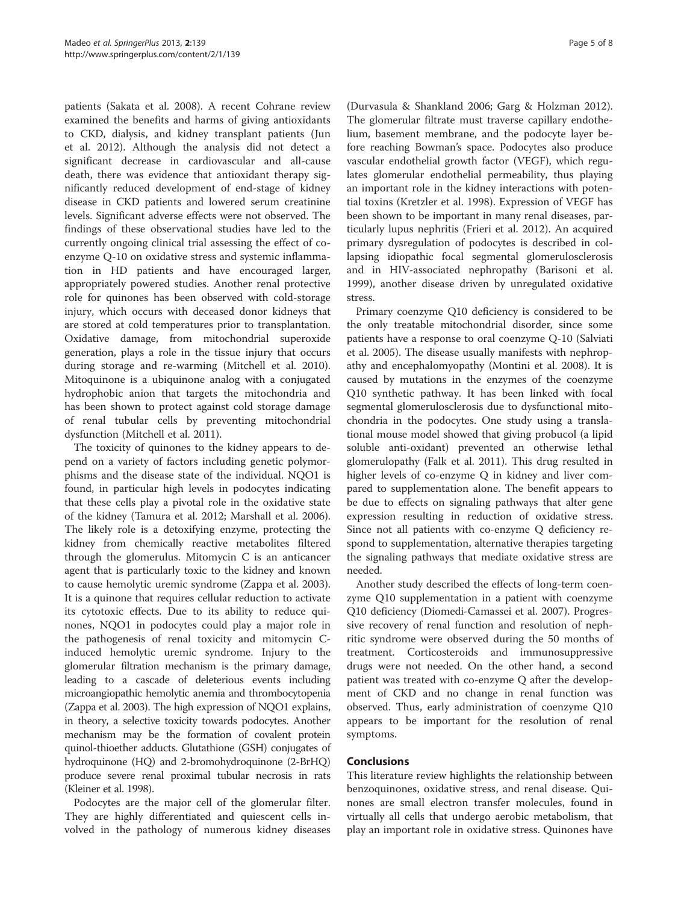patients (Sakata et al. [2008\)](#page-6-0). A recent Cohrane review examined the benefits and harms of giving antioxidants to CKD, dialysis, and kidney transplant patients (Jun et al. [2012\)](#page-5-0). Although the analysis did not detect a significant decrease in cardiovascular and all-cause death, there was evidence that antioxidant therapy significantly reduced development of end-stage of kidney disease in CKD patients and lowered serum creatinine levels. Significant adverse effects were not observed. The findings of these observational studies have led to the currently ongoing clinical trial assessing the effect of coenzyme Q-10 on oxidative stress and systemic inflammation in HD patients and have encouraged larger, appropriately powered studies. Another renal protective role for quinones has been observed with cold-storage injury, which occurs with deceased donor kidneys that are stored at cold temperatures prior to transplantation. Oxidative damage, from mitochondrial superoxide generation, plays a role in the tissue injury that occurs during storage and re-warming (Mitchell et al. [2010](#page-6-0)). Mitoquinone is a ubiquinone analog with a conjugated hydrophobic anion that targets the mitochondria and has been shown to protect against cold storage damage of renal tubular cells by preventing mitochondrial dysfunction (Mitchell et al. [2011\)](#page-6-0).

The toxicity of quinones to the kidney appears to depend on a variety of factors including genetic polymorphisms and the disease state of the individual. NQO1 is found, in particular high levels in podocytes indicating that these cells play a pivotal role in the oxidative state of the kidney (Tamura et al. [2012;](#page-6-0) Marshall et al. [2006](#page-6-0)). The likely role is a detoxifying enzyme, protecting the kidney from chemically reactive metabolites filtered through the glomerulus. Mitomycin C is an anticancer agent that is particularly toxic to the kidney and known to cause hemolytic uremic syndrome (Zappa et al. [2003](#page-7-0)). It is a quinone that requires cellular reduction to activate its cytotoxic effects. Due to its ability to reduce quinones, NQO1 in podocytes could play a major role in the pathogenesis of renal toxicity and mitomycin Cinduced hemolytic uremic syndrome. Injury to the glomerular filtration mechanism is the primary damage, leading to a cascade of deleterious events including microangiopathic hemolytic anemia and thrombocytopenia (Zappa et al. [2003\)](#page-7-0). The high expression of NQO1 explains, in theory, a selective toxicity towards podocytes. Another mechanism may be the formation of covalent protein quinol-thioether adducts. Glutathione (GSH) conjugates of hydroquinone (HQ) and 2-bromohydroquinone (2-BrHQ) produce severe renal proximal tubular necrosis in rats (Kleiner et al. [1998](#page-6-0)).

Podocytes are the major cell of the glomerular filter. They are highly differentiated and quiescent cells involved in the pathology of numerous kidney diseases

(Durvasula & Shankland [2006;](#page-5-0) Garg & Holzman [2012](#page-5-0)). The glomerular filtrate must traverse capillary endothelium, basement membrane, and the podocyte layer before reaching Bowman's space. Podocytes also produce vascular endothelial growth factor (VEGF), which regulates glomerular endothelial permeability, thus playing an important role in the kidney interactions with potential toxins (Kretzler et al. [1998](#page-6-0)). Expression of VEGF has been shown to be important in many renal diseases, particularly lupus nephritis (Frieri et al. [2012\)](#page-5-0). An acquired primary dysregulation of podocytes is described in collapsing idiopathic focal segmental glomerulosclerosis and in HIV-associated nephropathy (Barisoni et al. [1999](#page-5-0)), another disease driven by unregulated oxidative stress.

Primary coenzyme Q10 deficiency is considered to be the only treatable mitochondrial disorder, since some patients have a response to oral coenzyme Q-10 (Salviati et al. [2005](#page-6-0)). The disease usually manifests with nephropathy and encephalomyopathy (Montini et al. [2008](#page-6-0)). It is caused by mutations in the enzymes of the coenzyme Q10 synthetic pathway. It has been linked with focal segmental glomerulosclerosis due to dysfunctional mitochondria in the podocytes. One study using a translational mouse model showed that giving probucol (a lipid soluble anti-oxidant) prevented an otherwise lethal glomerulopathy (Falk et al. [2011](#page-5-0)). This drug resulted in higher levels of co-enzyme Q in kidney and liver compared to supplementation alone. The benefit appears to be due to effects on signaling pathways that alter gene expression resulting in reduction of oxidative stress. Since not all patients with co-enzyme Q deficiency respond to supplementation, alternative therapies targeting the signaling pathways that mediate oxidative stress are needed.

Another study described the effects of long-term coenzyme Q10 supplementation in a patient with coenzyme Q10 deficiency (Diomedi-Camassei et al. [2007](#page-5-0)). Progressive recovery of renal function and resolution of nephritic syndrome were observed during the 50 months of treatment. Corticosteroids and immunosuppressive drugs were not needed. On the other hand, a second patient was treated with co-enzyme Q after the development of CKD and no change in renal function was observed. Thus, early administration of coenzyme Q10 appears to be important for the resolution of renal symptoms.

# Conclusions

This literature review highlights the relationship between benzoquinones, oxidative stress, and renal disease. Quinones are small electron transfer molecules, found in virtually all cells that undergo aerobic metabolism, that play an important role in oxidative stress. Quinones have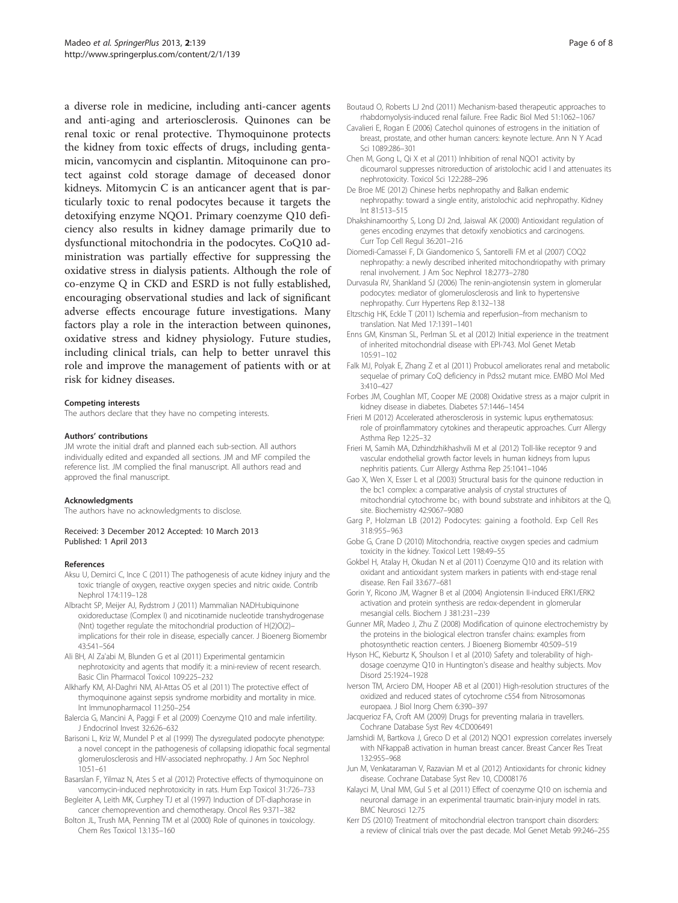<span id="page-5-0"></span>a diverse role in medicine, including anti-cancer agents and anti-aging and arteriosclerosis. Quinones can be renal toxic or renal protective. Thymoquinone protects the kidney from toxic effects of drugs, including gentamicin, vancomycin and cisplantin. Mitoquinone can protect against cold storage damage of deceased donor kidneys. Mitomycin C is an anticancer agent that is particularly toxic to renal podocytes because it targets the detoxifying enzyme NQO1. Primary coenzyme Q10 deficiency also results in kidney damage primarily due to dysfunctional mitochondria in the podocytes. CoQ10 administration was partially effective for suppressing the oxidative stress in dialysis patients. Although the role of co-enzyme Q in CKD and ESRD is not fully established, encouraging observational studies and lack of significant adverse effects encourage future investigations. Many factors play a role in the interaction between quinones, oxidative stress and kidney physiology. Future studies, including clinical trials, can help to better unravel this role and improve the management of patients with or at risk for kidney diseases.

### Competing interests

The authors declare that they have no competing interests.

#### Authors' contributions

JM wrote the initial draft and planned each sub-section. All authors individually edited and expanded all sections. JM and MF compiled the reference list. JM complied the final manuscript. All authors read and approved the final manuscript.

#### Acknowledgments

The authors have no acknowledgments to disclose.

#### Received: 3 December 2012 Accepted: 10 March 2013 Published: 1 April 2013

#### References

- Aksu U, Demirci C, Ince C (2011) The pathogenesis of acute kidney injury and the toxic triangle of oxygen, reactive oxygen species and nitric oxide. Contrib Nephrol 174:119–128
- Albracht SP, Meijer AJ, Rydstrom J (2011) Mammalian NADH:ubiquinone oxidoreductase (Complex I) and nicotinamide nucleotide transhydrogenase (Nnt) together regulate the mitochondrial production of H(2)O(2)– implications for their role in disease, especially cancer. J Bioenerg Biomembr 43:541–564
- Ali BH, Al Za'abi M, Blunden G et al (2011) Experimental gentamicin nephrotoxicity and agents that modify it: a mini-review of recent research. Basic Clin Pharmacol Toxicol 109:225–232
- Alkharfy KM, Al-Daghri NM, Al-Attas OS et al (2011) The protective effect of thymoquinone against sepsis syndrome morbidity and mortality in mice. Int Immunopharmacol 11:250–254
- Balercia G, Mancini A, Paggi F et al (2009) Coenzyme Q10 and male infertility. J Endocrinol Invest 32:626–632
- Barisoni L, Kriz W, Mundel P et al (1999) The dysregulated podocyte phenotype: a novel concept in the pathogenesis of collapsing idiopathic focal segmental glomerulosclerosis and HIV-associated nephropathy. J Am Soc Nephrol 10:51–61
- Basarslan F, Yilmaz N, Ates S et al (2012) Protective effects of thymoquinone on vancomycin-induced nephrotoxicity in rats. Hum Exp Toxicol 31:726–733
- Begleiter A, Leith MK, Curphey TJ et al (1997) Induction of DT-diaphorase in cancer chemoprevention and chemotherapy. Oncol Res 9:371–382
- Bolton JL, Trush MA, Penning TM et al (2000) Role of quinones in toxicology. Chem Res Toxicol 13:135–160
- Boutaud O, Roberts LJ 2nd (2011) Mechanism-based therapeutic approaches to rhabdomyolysis-induced renal failure. Free Radic Biol Med 51:1062–1067
- Cavalieri E, Rogan E (2006) Catechol quinones of estrogens in the initiation of breast, prostate, and other human cancers: keynote lecture. Ann N Y Acad Sci 1089:286–301
- Chen M, Gong L, Qi X et al (2011) Inhibition of renal NQO1 activity by dicoumarol suppresses nitroreduction of aristolochic acid I and attenuates its nephrotoxicity. Toxicol Sci 122:288–296
- De Broe ME (2012) Chinese herbs nephropathy and Balkan endemic nephropathy: toward a single entity, aristolochic acid nephropathy. Kidney Int 81:513–515
- Dhakshinamoorthy S, Long DJ 2nd, Jaiswal AK (2000) Antioxidant regulation of genes encoding enzymes that detoxify xenobiotics and carcinogens. Curr Top Cell Regul 36:201–216
- Diomedi-Camassei F, Di Giandomenico S, Santorelli FM et al (2007) COQ2 nephropathy: a newly described inherited mitochondriopathy with primary renal involvement. J Am Soc Nephrol 18:2773–2780
- Durvasula RV, Shankland SJ (2006) The renin-angiotensin system in glomerular podocytes: mediator of glomerulosclerosis and link to hypertensive nephropathy. Curr Hypertens Rep 8:132–138
- Eltzschig HK, Eckle T (2011) Ischemia and reperfusion–from mechanism to translation. Nat Med 17:1391–1401
- Enns GM, Kinsman SL, Perlman SL et al (2012) Initial experience in the treatment of inherited mitochondrial disease with EPI-743. Mol Genet Metab 105:91–102
- Falk MJ, Polyak E, Zhang Z et al (2011) Probucol ameliorates renal and metabolic sequelae of primary CoQ deficiency in Pdss2 mutant mice. EMBO Mol Med 3:410–427
- Forbes JM, Coughlan MT, Cooper ME (2008) Oxidative stress as a major culprit in kidney disease in diabetes. Diabetes 57:1446–1454
- Frieri M (2012) Accelerated atherosclerosis in systemic lupus erythematosus: role of proinflammatory cytokines and therapeutic approaches. Curr Allergy Asthma Rep 12:25–32
- Frieri M, Samih MA, Dzhindzhikhashvili M et al (2012) Toll-like receptor 9 and vascular endothelial growth factor levels in human kidneys from lupus nephritis patients. Curr Allergy Asthma Rep 25:1041–1046
- Gao X, Wen X, Esser L et al (2003) Structural basis for the quinone reduction in the bc1 complex: a comparative analysis of crystal structures of mitochondrial cytochrome  $bc_1$  with bound substrate and inhibitors at the  $Q_i$ site. Biochemistry 42:9067–9080
- Garg P, Holzman LB (2012) Podocytes: gaining a foothold. Exp Cell Res 318:955–963
- Gobe G, Crane D (2010) Mitochondria, reactive oxygen species and cadmium toxicity in the kidney. Toxicol Lett 198:49–55
- Gokbel H, Atalay H, Okudan N et al (2011) Coenzyme Q10 and its relation with oxidant and antioxidant system markers in patients with end-stage renal disease. Ren Fail 33:677–681
- Gorin Y, Ricono JM, Wagner B et al (2004) Angiotensin II-induced ERK1/ERK2 activation and protein synthesis are redox-dependent in glomerular mesangial cells. Biochem J 381:231–239
- Gunner MR, Madeo J, Zhu Z (2008) Modification of quinone electrochemistry by the proteins in the biological electron transfer chains: examples from photosynthetic reaction centers. J Bioenerg Biomembr 40:509–519
- Hyson HC, Kieburtz K, Shoulson I et al (2010) Safety and tolerability of highdosage coenzyme Q10 in Huntington's disease and healthy subjects. Mov Disord 25:1924–1928
- Iverson TM, Arciero DM, Hooper AB et al (2001) High-resolution structures of the oxidized and reduced states of cytochrome c554 from Nitrosomonas europaea. J Biol Inorg Chem 6:390–397
- Jacquerioz FA, Croft AM (2009) Drugs for preventing malaria in travellers. Cochrane Database Syst Rev 4:CD006491
- Jamshidi M, Bartkova J, Greco D et al (2012) NQO1 expression correlates inversely with NFkappaB activation in human breast cancer. Breast Cancer Res Treat 132:955–968
- Jun M, Venkataraman V, Razavian M et al (2012) Antioxidants for chronic kidney disease. Cochrane Database Syst Rev 10, CD008176
- Kalayci M, Unal MM, Gul S et al (2011) Effect of coenzyme Q10 on ischemia and neuronal damage in an experimental traumatic brain-injury model in rats. BMC Neurosci 12:75
- Kerr DS (2010) Treatment of mitochondrial electron transport chain disorders: a review of clinical trials over the past decade. Mol Genet Metab 99:246–255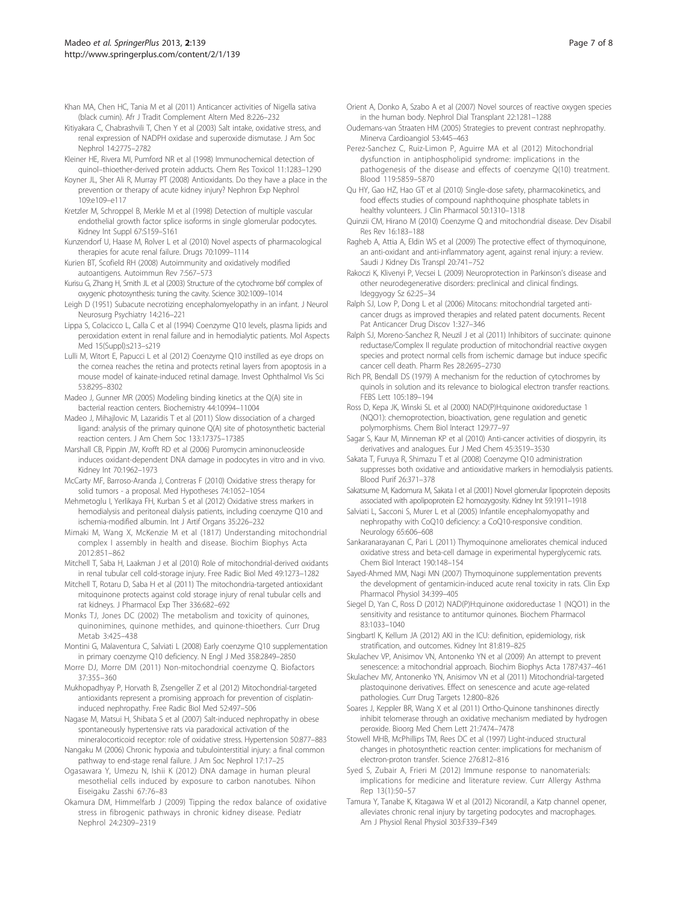- <span id="page-6-0"></span>Khan MA, Chen HC, Tania M et al (2011) Anticancer activities of Nigella sativa (black cumin). Afr J Tradit Complement Altern Med 8:226–232
- Kitiyakara C, Chabrashvili T, Chen Y et al (2003) Salt intake, oxidative stress, and renal expression of NADPH oxidase and superoxide dismutase. J Am Soc Nephrol 14:2775–2782
- Kleiner HE, Rivera MI, Pumford NR et al (1998) Immunochemical detection of quinol–thioether-derived protein adducts. Chem Res Toxicol 11:1283–1290
- Koyner JL, Sher Ali R, Murray PT (2008) Antioxidants. Do they have a place in the prevention or therapy of acute kidney injury? Nephron Exp Nephrol 109:e109–e117
- Kretzler M, Schroppel B, Merkle M et al (1998) Detection of multiple vascular endothelial growth factor splice isoforms in single glomerular podocytes. Kidney Int Suppl 67:S159–S161
- Kunzendorf U, Haase M, Rolver L et al (2010) Novel aspects of pharmacological therapies for acute renal failure. Drugs 70:1099–1114
- Kurien BT, Scofield RH (2008) Autoimmunity and oxidatively modified autoantigens. Autoimmun Rev 7:567–573
- Kurisu G, Zhang H, Smith JL et al (2003) Structure of the cytochrome b6f complex of oxygenic photosynthesis: tuning the cavity. Science 302:1009–1014
- Leigh D (1951) Subacute necrotizing encephalomyelopathy in an infant. J Neurol Neurosurg Psychiatry 14:216–221
- Lippa S, Colacicco L, Calla C et al (1994) Coenzyme Q10 levels, plasma lipids and peroxidation extent in renal failure and in hemodialytic patients. Mol Aspects Med 15(Suppl):s213–s219
- Lulli M, Witort E, Papucci L et al (2012) Coenzyme Q10 instilled as eye drops on the cornea reaches the retina and protects retinal layers from apoptosis in a mouse model of kainate-induced retinal damage. Invest Ophthalmol Vis Sci 53:8295–8302
- Madeo J, Gunner MR (2005) Modeling binding kinetics at the Q(A) site in bacterial reaction centers. Biochemistry 44:10994–11004

Madeo J, Mihajlovic M, Lazaridis T et al (2011) Slow dissociation of a charged ligand: analysis of the primary quinone Q(A) site of photosynthetic bacterial reaction centers. J Am Chem Soc 133:17375–17385

- Marshall CB, Pippin JW, Krofft RD et al (2006) Puromycin aminonucleoside induces oxidant-dependent DNA damage in podocytes in vitro and in vivo. Kidney Int 70:1962–1973
- McCarty MF, Barroso-Aranda J, Contreras F (2010) Oxidative stress therapy for solid tumors - a proposal. Med Hypotheses 74:1052–1054

Mehmetoglu I, Yerlikaya FH, Kurban S et al (2012) Oxidative stress markers in hemodialysis and peritoneal dialysis patients, including coenzyme Q10 and ischemia-modified albumin. Int J Artif Organs 35:226–232

Mimaki M, Wang X, McKenzie M et al (1817) Understanding mitochondrial complex I assembly in health and disease. Biochim Biophys Acta 2012:851–862

- Mitchell T, Saba H, Laakman J et al (2010) Role of mitochondrial-derived oxidants in renal tubular cell cold-storage injury. Free Radic Biol Med 49:1273–1282
- Mitchell T, Rotaru D, Saba H et al (2011) The mitochondria-targeted antioxidant mitoquinone protects against cold storage injury of renal tubular cells and rat kidneys. J Pharmacol Exp Ther 336:682–692
- Monks TJ, Jones DC (2002) The metabolism and toxicity of quinones, quinonimines, quinone methides, and quinone-thioethers. Curr Drug Metab 3:425–438
- Montini G, Malaventura C, Salviati L (2008) Early coenzyme Q10 supplementation in primary coenzyme Q10 deficiency. N Engl J Med 358:2849–2850
- Morre DJ, Morre DM (2011) Non-mitochondrial coenzyme Q. Biofactors 37:355–360

Mukhopadhyay P, Horvath B, Zsengeller Z et al (2012) Mitochondrial-targeted antioxidants represent a promising approach for prevention of cisplatininduced nephropathy. Free Radic Biol Med 52:497–506

- Nagase M, Matsui H, Shibata S et al (2007) Salt-induced nephropathy in obese spontaneously hypertensive rats via paradoxical activation of the mineralocorticoid receptor: role of oxidative stress. Hypertension 50:877–883
- Nangaku M (2006) Chronic hypoxia and tubulointerstitial injury: a final common pathway to end-stage renal failure. J Am Soc Nephrol 17:17–25
- Ogasawara Y, Umezu N, Ishii K (2012) DNA damage in human pleural mesothelial cells induced by exposure to carbon nanotubes. Nihon Eiseigaku Zasshi 67:76–83
- Okamura DM, Himmelfarb J (2009) Tipping the redox balance of oxidative stress in fibrogenic pathways in chronic kidney disease. Pediatr Nephrol 24:2309–2319
- Orient A, Donko A, Szabo A et al (2007) Novel sources of reactive oxygen species in the human body. Nephrol Dial Transplant 22:1281–1288
- Oudemans-van Straaten HM (2005) Strategies to prevent contrast nephropathy. Minerva Cardioangiol 53:445–463
- Perez-Sanchez C, Ruiz-Limon P, Aguirre MA et al (2012) Mitochondrial dysfunction in antiphospholipid syndrome: implications in the pathogenesis of the disease and effects of coenzyme Q(10) treatment. Blood 119:5859–5870
- Qu HY, Gao HZ, Hao GT et al (2010) Single-dose safety, pharmacokinetics, and food effects studies of compound naphthoquine phosphate tablets in healthy volunteers. J Clin Pharmacol 50:1310–1318
- Quinzii CM, Hirano M (2010) Coenzyme Q and mitochondrial disease. Dev Disabil Res Rev 16:183–188
- Ragheb A, Attia A, Eldin WS et al (2009) The protective effect of thymoquinone, an anti-oxidant and anti-inflammatory agent, against renal injury: a review. Saudi J Kidney Dis Transpl 20:741–752
- Rakoczi K, Klivenyi P, Vecsei L (2009) Neuroprotection in Parkinson's disease and other neurodegenerative disorders: preclinical and clinical findings. Ideggyogy Sz 62:25–34
- Ralph SJ, Low P, Dong L et al (2006) Mitocans: mitochondrial targeted anticancer drugs as improved therapies and related patent documents. Recent Pat Anticancer Drug Discov 1:327–346
- Ralph SJ, Moreno-Sanchez R, Neuzil J et al (2011) Inhibitors of succinate: quinone reductase/Complex II regulate production of mitochondrial reactive oxygen species and protect normal cells from ischemic damage but induce specific cancer cell death. Pharm Res 28:2695–2730
- Rich PR, Bendall DS (1979) A mechanism for the reduction of cytochromes by quinols in solution and its relevance to biological electron transfer reactions. FEBS Lett 105:189–194
- Ross D, Kepa JK, Winski SL et al (2000) NAD(P)H:quinone oxidoreductase 1 (NQO1): chemoprotection, bioactivation, gene regulation and genetic polymorphisms. Chem Biol Interact 129:77–97
- Sagar S, Kaur M, Minneman KP et al (2010) Anti-cancer activities of diospyrin, its derivatives and analogues. Eur J Med Chem 45:3519–3530
- Sakata T, Furuya R, Shimazu T et al (2008) Coenzyme Q10 administration suppresses both oxidative and antioxidative markers in hemodialysis patients. Blood Purif 26:371–378
- Sakatsume M, Kadomura M, Sakata I et al (2001) Novel glomerular lipoprotein deposits associated with apolipoprotein E2 homozygosity. Kidney Int 59:1911–1918
- Salviati L, Sacconi S, Murer L et al (2005) Infantile encephalomyopathy and nephropathy with CoQ10 deficiency: a CoQ10-responsive condition. Neurology 65:606–608
- Sankaranarayanan C, Pari L (2011) Thymoquinone ameliorates chemical induced oxidative stress and beta-cell damage in experimental hyperglycemic rats. Chem Biol Interact 190:148–154
- Sayed-Ahmed MM, Nagi MN (2007) Thymoquinone supplementation prevents the development of gentamicin-induced acute renal toxicity in rats. Clin Exp Pharmacol Physiol 34:399–405
- Siegel D, Yan C, Ross D (2012) NAD(P)H:quinone oxidoreductase 1 (NQO1) in the sensitivity and resistance to antitumor quinones. Biochem Pharmacol 83:1033–1040
- Singbartl K, Kellum JA (2012) AKI in the ICU: definition, epidemiology, risk stratification, and outcomes. Kidney Int 81:819–825
- Skulachev VP, Anisimov VN, Antonenko YN et al (2009) An attempt to prevent senescence: a mitochondrial approach. Biochim Biophys Acta 1787:437–461
- Skulachev MV, Antonenko YN, Anisimov VN et al (2011) Mitochondrial-targeted plastoquinone derivatives. Effect on senescence and acute age-related pathologies. Curr Drug Targets 12:800–826
- Soares J, Keppler BR, Wang X et al (2011) Ortho-Quinone tanshinones directly inhibit telomerase through an oxidative mechanism mediated by hydrogen peroxide. Bioorg Med Chem Lett 21:7474–7478
- Stowell MHB, McPhillips TM, Rees DC et al (1997) Light-induced structural changes in photosynthetic reaction center: implications for mechanism of electron-proton transfer. Science 276:812–816
- Syed S, Zubair A, Frieri M (2012) Immune response to nanomaterials: implications for medicine and literature review. Curr Allergy Asthma Rep 13(1):50–57
- Tamura Y, Tanabe K, Kitagawa W et al (2012) Nicorandil, a Katp channel opener, alleviates chronic renal injury by targeting podocytes and macrophages. Am J Physiol Renal Physiol 303:F339–F349